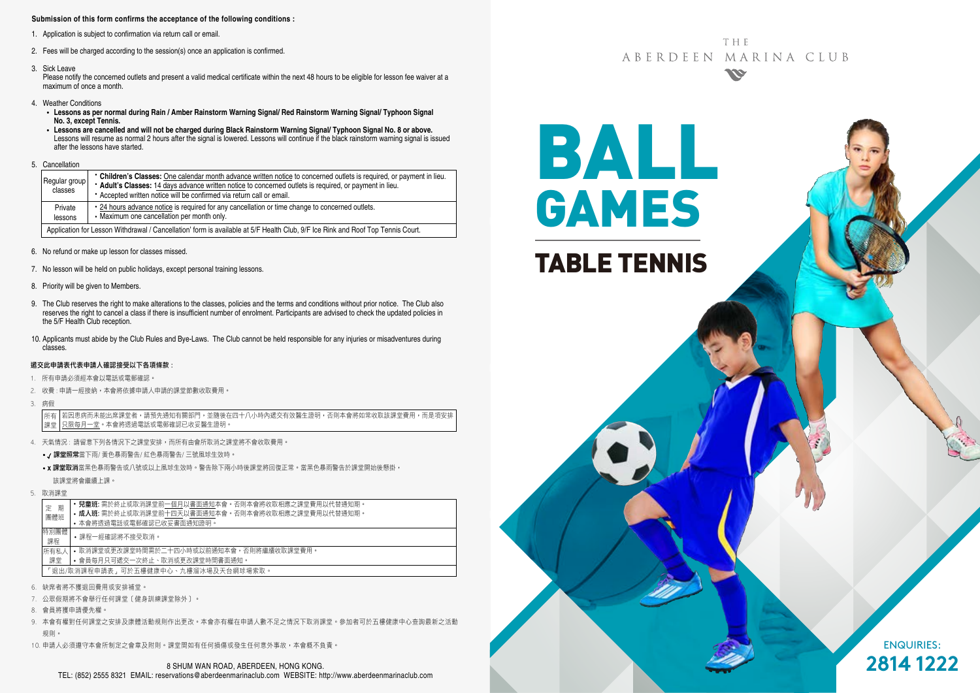#### **Submission of this form confirms the acceptance of the following conditions :**

- 1. Application is subject to confirmation via return call or email.
- 2. Fees will be charged according to the session(s) once an application is confirmed.
- 3. Sick Leave

Please notify the concerned outlets and present a valid medical certificate within the next 48 hours to be eligible for lesson fee waiver at a maximum of once a month.

- 4. Weather Conditions
	- **Lessons as per normal during Rain / Amber Rainstorm Warning Signal/ Red Rainstorm Warning Signal/ Typhoon Signal No. 3, except Tennis.**
	- **Lessons are cancelled and will not be charged during Black Rainstorm Warning Signal/ Typhoon Signal No. 8 or above.** Lessons will resume as normal 2 hours after the signal is lowered. Lessons will continue if the black rainstorm warning signal is issued after the lessons have started.
- 5. Cancellation

| Regular group<br>classes                                                                                                        | • Children's Classes: One calendar month advance written notice to concerned outlets is required, or payment in lieu.<br>* Adult's Classes: 14 days advance written notice to concerned outlets is required, or payment in lieu.<br>• Accepted written notice will be confirmed via return call or email. |  |  |  |
|---------------------------------------------------------------------------------------------------------------------------------|-----------------------------------------------------------------------------------------------------------------------------------------------------------------------------------------------------------------------------------------------------------------------------------------------------------|--|--|--|
| Private<br>lessons                                                                                                              | • 24 hours advance notice is required for any cancellation or time change to concerned outlets.<br>• Maximum one cancellation per month only.                                                                                                                                                             |  |  |  |
| Application for Lesson Withdrawal / Cancellation' form is available at 5/F Health Club. 9/F Ice Rink and Roof Top Tennis Court. |                                                                                                                                                                                                                                                                                                           |  |  |  |

- 6. No refund or make up lesson for classes missed.
- 7. No lesson will be held on public holidays, except personal training lessons.
- 8. Priority will be given to Members.
- 9. The Club reserves the right to make alterations to the classes, policies and the terms and conditions without prior notice. The Club also reserves the right to cancel a class if there is insufficient number of enrolment. Participants are advised to check the updated policies in the 5/F Health Club reception.
- 10. Applicants must abide by the Club Rules and Bye-Laws. The Club cannot be held responsible for any injuries or misadventures during classes.

#### 遞交此申請表代表申請人確認接受以下各項條款 :

- 1. 所有申請必須經本會以電話或電郵確認。
- 2. 收費: 申請一經接納, 本會將依據申請人申請的課堂節數收取費用,
- 3. 病假

若因患病而未能出席課堂者,請預先通知有關部門,並隨後在四十八小時內遞交有效醫生證明,否則本會將如常收取該課堂費用,而是項安排 只限每月一堂。本會將透過電話或電郵確認已收妥醫生證明。 所有 課堂

- 4. 天氣情況 : 請留意下列各情況下之課堂安排,而所有由會所取消之課堂將不會收取費用。
	- / 課堂照常當下雨/ 黃色暴雨警告/ 紅色暴雨警告/ 三號風球生效時。
	- x 課堂取消當黑色暴雨警告或八號或以上風球生效時。警告除下兩小時後課堂將回復正常。當黑色暴雨警告於課堂開始後懸掛, 該課堂將會繼續上課。
- 5. 取消課堂

| 期                                   | • 兒童班: 需於終止或取消課堂前一個月以書面通知本會。否則本會將收取相應之課堂費用以代替通知期。 |  |  |  |  |  |
|-------------------------------------|---------------------------------------------------|--|--|--|--|--|
| 定                                   | • 成人班: 需於終止或取消課堂前十四天以書面通知本會。否則本會將收取相應之課堂費用以代替通知期。 |  |  |  |  |  |
| 團體班                                 | • 本會將诱過電話或電郵確認已收妥書面通知證明。                          |  |  |  |  |  |
| 特別團體<br>課程                          | •課程一經確認將不接受取消。                                    |  |  |  |  |  |
| 所有私人                                | • 取消課堂或更改課堂時間需於二十四小時或以前捅知本會,否則將繼續收取課堂費用。          |  |  |  |  |  |
| 課堂                                  | • 會員每月只可遞交一次終止、取消或更改課堂時間書面通知。                     |  |  |  |  |  |
| 「狠出/取消課程申請表,可於五樓健康中心、九樓溜冰場及天台網球場索取。 |                                                   |  |  |  |  |  |

- 6. 缺席者將不獲退回費用或安排補堂。
- 7. 公眾假期將不會舉行任何課堂﹝健身訓練課堂除外﹞。
- 8. 會員將獲申請優先權。
- 9. 本會有權對任何課堂之安排及康體活動規則作出更改。本會亦有權在申請人數不足之情況下取消課堂。參加者可於五樓健康中心查詢最新之活動 規則。
- 10. 申請人必須遵守本會所制定之會章及附則。課堂間如有任何損傷或發生任何意外事故,本會概不負責。